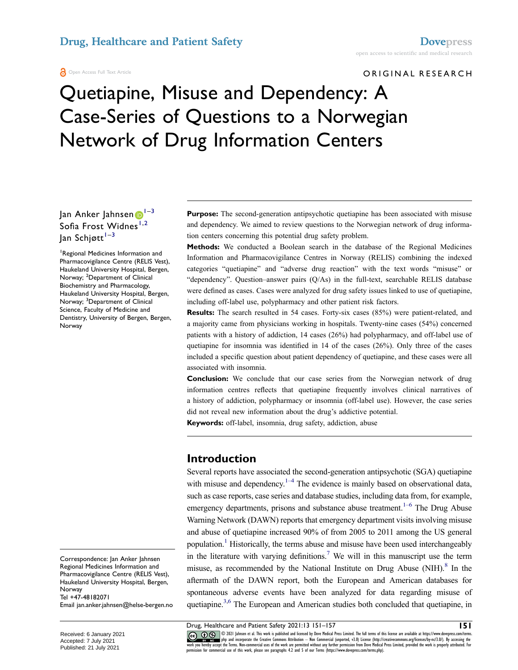ORIGINAL RESEARCH

# Quetiapine, Misuse and Dependency: A Case-Series of Questions to a Norwegian Network of Drug Information Centers

Ja[n](http://orcid.org/0000-0001-5205-4551) Anker Jahnsen <sup>[1](#page-0-0)-[3](#page-0-1)</sup> Sofia Frost Widnes<sup>[1](#page-0-0),2</sup>  $\int$ lan Schjøtt $\int$ <sup>[1](#page-0-0)-[3](#page-0-1)</sup>

<span id="page-0-2"></span><span id="page-0-1"></span><span id="page-0-0"></span>1 Regional Medicines Information and Pharmacovigilance Centre (RELIS Vest), Haukeland University Hospital, Bergen, Norway; <sup>2</sup>Department of Clinical Biochemistry and Pharmacology, Haukeland University Hospital, Bergen, Norway; <sup>3</sup>Department of Clinical Science, Faculty of Medicine and Dentistry, University of Bergen, Bergen, Norway

Correspondence: Jan Anker Jahnsen Regional Medicines Information and Pharmacovigilance Centre (RELIS Vest), Haukeland University Hospital, Bergen, Norway Tel +47-48182071 Email [jan.anker.jahnsen@helse-bergen.no](mailto:jan.anker.jahnsen@helse-bergen.no) **Purpose:** The second-generation antipsychotic quetiapine has been associated with misuse and dependency. We aimed to review questions to the Norwegian network of drug information centers concerning this potential drug safety problem.

**Methods:** We conducted a Boolean search in the database of the Regional Medicines Information and Pharmacovigilance Centres in Norway (RELIS) combining the indexed categories "quetiapine" and "adverse drug reaction" with the text words "misuse" or "dependency". Question–answer pairs (Q/As) in the full-text, searchable RELIS database were defined as cases. Cases were analyzed for drug safety issues linked to use of quetiapine, including off-label use, polypharmacy and other patient risk factors.

**Results:** The search resulted in 54 cases. Forty-six cases (85%) were patient-related, and a majority came from physicians working in hospitals. Twenty-nine cases (54%) concerned patients with a history of addiction, 14 cases (26%) had polypharmacy, and off-label use of quetiapine for insomnia was identified in  $14$  of the cases (26%). Only three of the cases included a specific question about patient dependency of quetiapine, and these cases were all associated with insomnia.

**Conclusion:** We conclude that our case series from the Norwegian network of drug information centres reflects that quetiapine frequently involves clinical narratives of a history of addiction, polypharmacy or insomnia (off-label use). However, the case series did not reveal new information about the drug's addictive potential.

**Keywords:** off-label, insomnia, drug safety, addiction, abuse

#### **Introduction**

<span id="page-0-3"></span>Several reports have associated the second-generation antipsychotic (SGA) quetiapine with misuse and dependency.<sup>1–4</sup> The evidence is mainly based on observational data, such as case reports, case series and database studies, including data from, for example, emergency departments, prisons and substance abuse treatment.<sup>1-6</sup> The Drug Abuse Warning Network (DAWN) reports that emergency department visits involving misuse and abuse of quetiapine increased 90% of from 2005 to 2011 among the US general population[.1](#page-5-0) Historically, the terms abuse and misuse have been used interchangeably in the literature with varying definitions.<sup>7</sup> We will in this manuscript use the term misuse, as recommended by the National Institute on Drug Abuse  $(NIH).$ <sup>[8](#page-6-1)</sup> In the aftermath of the DAWN report, both the European and American databases for spontaneous adverse events have been analyzed for data regarding misuse of quetiapine.<sup>3[,6](#page-6-2)</sup> The European and American studies both concluded that quetiapine, in

<span id="page-0-6"></span><span id="page-0-5"></span><span id="page-0-4"></span>Drug, Healthcare and Patient Safety 2021:13 151–157 **151**

CO OD SUP almsen et al. This work is published and licensed by Dove Medical Press Limited. The full terms of this license are available at https://www.dovepress.com/terms.<br>work you hereby accept the Terms. Non-commercial u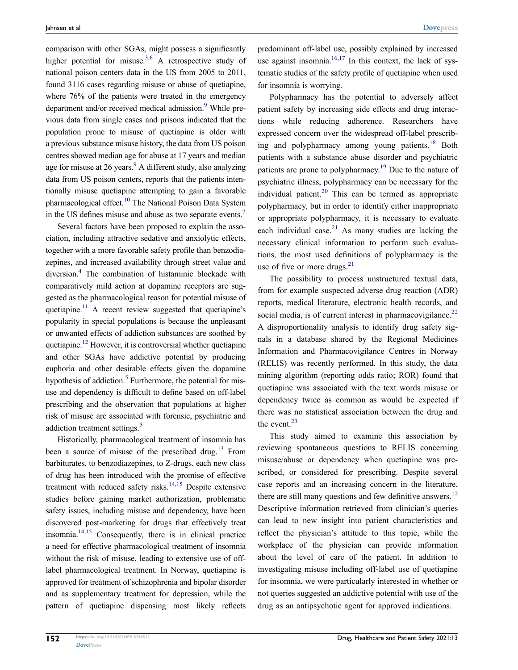comparison with other SGAs, might possess a significantly higher potential for misuse.<sup>3,6</sup> A retrospective study of national poison centers data in the US from 2005 to 2011, found 3116 cases regarding misuse or abuse of quetiapine, where 76% of the patients were treated in the emergency department and/or received medical admission.<sup>9</sup> While previous data from single cases and prisons indicated that the population prone to misuse of quetiapine is older with a previous substance misuse history, the data from US poison centres showed median age for abuse at 17 years and median age for misuse at 26 years. $9$  A different study, also analyzing data from US poison centers, reports that the patients intentionally misuse quetiapine attempting to gain a favorable pharmacological effect[.10](#page-6-4) The National Poison Data System in the US defines misuse and abuse as two separate events.[7](#page-6-0)

<span id="page-1-4"></span><span id="page-1-3"></span><span id="page-1-2"></span><span id="page-1-0"></span>Several factors have been proposed to explain the association, including attractive sedative and anxiolytic effects, together with a more favorable safety profile than benzodiazepines, and increased availability through street value and diversion.[4](#page-5-2) The combination of histaminic blockade with comparatively mild action at dopamine receptors are suggested as the pharmacological reason for potential misuse of quetiapine.<sup>11</sup> A recent review suggested that quetiapine's popularity in special populations is because the unpleasant or unwanted effects of addiction substances are soothed by quetiapine.<sup>12</sup> However, it is controversial whether quetiapine and other SGAs have addictive potential by producing euphoria and other desirable effects given the dopamine hypothesis of addiction.<sup>[5](#page-6-7)</sup> Furthermore, the potential for misuse and dependency is difficult to define based on off-label prescribing and the observation that populations at higher risk of misuse are associated with forensic, psychiatric and addiction treatment settings.<sup>[5](#page-6-7)</sup>

<span id="page-1-7"></span><span id="page-1-6"></span><span id="page-1-1"></span>Historically, pharmacological treatment of insomnia has been a source of misuse of the prescribed drug.<sup>13</sup> From barbiturates, to benzodiazepines, to Z-drugs, each new class of drug has been introduced with the promise of effective treatment with reduced safety risks. $14,15$  Despite extensive studies before gaining market authorization, problematic safety issues, including misuse and dependency, have been discovered post-marketing for drugs that effectively treat insomnia.<sup>14,15</sup> Consequently, there is in clinical practice a need for effective pharmacological treatment of insomnia without the risk of misuse, leading to extensive use of offlabel pharmacological treatment. In Norway, quetiapine is approved for treatment of schizophrenia and bipolar disorder and as supplementary treatment for depression, while the pattern of quetiapine dispensing most likely reflects

<span id="page-1-8"></span>predominant off-label use, possibly explained by increased use against insomnia. $16,17$  $16,17$  In this context, the lack of systematic studies of the safety profile of quetiapine when used for insomnia is worrying.

<span id="page-1-10"></span><span id="page-1-9"></span>Polypharmacy has the potential to adversely affect patient safety by increasing side effects and drug interactions while reducing adherence. Researchers have expressed concern over the widespread off-label prescrib-ing and polypharmacy among young patients.<sup>[18](#page-6-13)</sup> Both patients with a substance abuse disorder and psychiatric patients are prone to polypharmacy[.19](#page-6-14) Due to the nature of psychiatric illness, polypharmacy can be necessary for the individual patient.<sup>20</sup> This can be termed as appropriate polypharmacy, but in order to identify either inappropriate or appropriate polypharmacy, it is necessary to evaluate each individual case.<sup>21</sup> As many studies are lacking the necessary clinical information to perform such evaluations, the most used definitions of polypharmacy is the use of five or more drugs. $21$ 

<span id="page-1-13"></span><span id="page-1-12"></span><span id="page-1-11"></span>The possibility to process unstructured textual data, from for example suspected adverse drug reaction (ADR) reports, medical literature, electronic health records, and social media, is of current interest in pharmacovigilance. $22$ A disproportionality analysis to identify drug safety signals in a database shared by the Regional Medicines Information and Pharmacovigilance Centres in Norway (RELIS) was recently performed. In this study, the data mining algorithm (reporting odds ratio; ROR) found that quetiapine was associated with the text words misuse or dependency twice as common as would be expected if there was no statistical association between the drug and the event.<sup>23</sup>

<span id="page-1-14"></span><span id="page-1-5"></span>This study aimed to examine this association by reviewing spontaneous questions to RELIS concerning misuse/abuse or dependency when quetiapine was prescribed, or considered for prescribing. Despite several case reports and an increasing concern in the literature, there are still many questions and few definitive answers.<sup>[12](#page-6-6)</sup> Descriptive information retrieved from clinician's queries can lead to new insight into patient characteristics and reflect the physician's attitude to this topic, while the workplace of the physician can provide information about the level of care of the patient. In addition to investigating misuse including off-label use of quetiapine for insomnia, we were particularly interested in whether or not queries suggested an addictive potential with use of the drug as an antipsychotic agent for approved indications.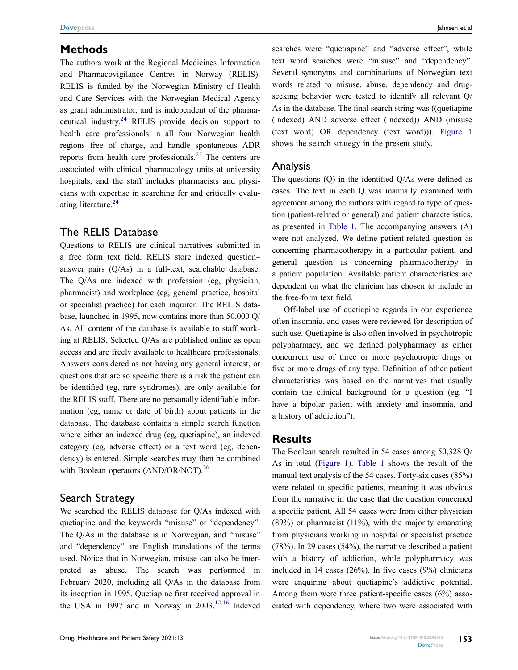### **Methods**

The authors work at the Regional Medicines Information and Pharmacovigilance Centres in Norway (RELIS). RELIS is funded by the Norwegian Ministry of Health and Care Services with the Norwegian Medical Agency as grant administrator, and is independent of the pharmaceutical industry.[24](#page-6-19) RELIS provide decision support to health care professionals in all four Norwegian health regions free of charge, and handle spontaneous ADR reports from health care professionals.<sup>25</sup> The centers are associated with clinical pharmacology units at university hospitals, and the staff includes pharmacists and physicians with expertise in searching for and critically evalu-ating literature.<sup>[24](#page-6-19)</sup>

#### <span id="page-2-1"></span><span id="page-2-0"></span>The RELIS Database

Questions to RELIS are clinical narratives submitted in a free form text field. RELIS store indexed question– answer pairs (Q/As) in a full-text, searchable database. The Q/As are indexed with profession (eg, physician, pharmacist) and workplace (eg, general practice, hospital or specialist practice) for each inquirer. The RELIS database, launched in 1995, now contains more than 50,000 Q/ As. All content of the database is available to staff working at RELIS. Selected Q/As are published online as open access and are freely available to healthcare professionals. Answers considered as not having any general interest, or questions that are so specific there is a risk the patient can be identified (eg, rare syndromes), are only available for the RELIS staff. There are no personally identifiable information (eg, name or date of birth) about patients in the database. The database contains a simple search function where either an indexed drug (eg, quetiapine), an indexed category (eg, adverse effect) or a text word (eg, dependency) is entered. Simple searches may then be combined with Boolean operators (AND/OR/NOT).<sup>26</sup>

#### <span id="page-2-2"></span>Search Strategy

We searched the RELIS database for Q/As indexed with quetiapine and the keywords "misuse" or "dependency". The Q/As in the database is in Norwegian, and "misuse" and "dependency" are English translations of the terms used. Notice that in Norwegian, misuse can also be interpreted as abuse. The search was performed in February 2020, including all Q/As in the database from its inception in 1995. Quetiapine first received approval in the USA in 1997 and in Norway in  $2003$ <sup>[12](#page-6-6),16</sup> Indexed

searches were "quetiapine" and "adverse effect", while text word searches were "misuse" and "dependency". Several synonyms and combinations of Norwegian text words related to misuse, abuse, dependency and drugseeking behavior were tested to identify all relevant Q/ As in the database. The final search string was ((quetiapine (indexed) AND adverse effect (indexed)) AND (misuse (text word) OR dependency (text word))). [Figure 1](#page-3-0) shows the search strategy in the present study.

#### Analysis

The questions (Q) in the identified Q/As were defined as cases. The text in each Q was manually examined with agreement among the authors with regard to type of question (patient-related or general) and patient characteristics, as presented in [Table 1.](#page-4-0) The accompanying answers (A) were not analyzed. We define patient-related question as concerning pharmacotherapy in a particular patient, and general question as concerning pharmacotherapy in a patient population. Available patient characteristics are dependent on what the clinician has chosen to include in the free-form text field.

Off-label use of quetiapine regards in our experience often insomnia, and cases were reviewed for description of such use. Quetiapine is also often involved in psychotropic polypharmacy, and we defined polypharmacy as either concurrent use of three or more psychotropic drugs or five or more drugs of any type. Definition of other patient characteristics was based on the narratives that usually contain the clinical background for a question (eg, "I have a bipolar patient with anxiety and insomnia, and a history of addiction").

### **Results**

The Boolean search resulted in 54 cases among 50,328 Q/ As in total [\(Figure 1\)](#page-3-0). [Table 1](#page-4-0) shows the result of the manual text analysis of the 54 cases. Forty-six cases (85%) were related to specific patients, meaning it was obvious from the narrative in the case that the question concerned a specific patient. All 54 cases were from either physician  $(89%)$  or pharmacist  $(11%)$ , with the majority emanating from physicians working in hospital or specialist practice (78%). In 29 cases (54%), the narrative described a patient with a history of addiction, while polypharmacy was included in 14 cases  $(26%)$ . In five cases  $(9%)$  clinicians were enquiring about quetiapine's addictive potential. Among them were three patient-specific cases (6%) associated with dependency, where two were associated with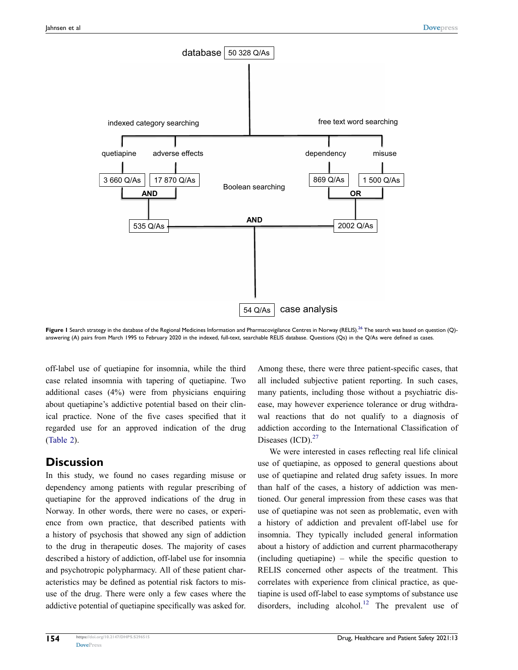<span id="page-3-0"></span>

Figure 1 Search strategy in the database of the Regional Medicines Information and Pharmacovigilance Centres in Norway (RELIS).<sup>26</sup> The search was based on question (Q)answering (A) pairs from March 1995 to February 2020 in the indexed, full-text, searchable RELIS database. Questions (Qs) in the Q/As were defined as cases.

off-label use of quetiapine for insomnia, while the third case related insomnia with tapering of quetiapine. Two additional cases (4%) were from physicians enquiring about quetiapine's addictive potential based on their clinical practice. None of the five cases specified that it regarded use for an approved indication of the drug [\(Table 2\)](#page-5-3).

#### **Discussion**

In this study, we found no cases regarding misuse or dependency among patients with regular prescribing of quetiapine for the approved indications of the drug in Norway. In other words, there were no cases, or experience from own practice, that described patients with a history of psychosis that showed any sign of addiction to the drug in therapeutic doses. The majority of cases described a history of addiction, off-label use for insomnia and psychotropic polypharmacy. All of these patient characteristics may be defined as potential risk factors to misuse of the drug. There were only a few cases where the addictive potential of quetiapine specifically was asked for.

Among these, there were three patient-specific cases, that all included subjective patient reporting. In such cases, many patients, including those without a psychiatric disease, may however experience tolerance or drug withdrawal reactions that do not qualify to a diagnosis of addiction according to the International Classification of Diseases  $(ICD).^{27}$ 

We were interested in cases reflecting real life clinical use of quetiapine, as opposed to general questions about use of quetiapine and related drug safety issues. In more than half of the cases, a history of addiction was mentioned. Our general impression from these cases was that use of quetiapine was not seen as problematic, even with a history of addiction and prevalent off-label use for insomnia. They typically included general information about a history of addiction and current pharmacotherapy (including quetiapine) – while the specific question to RELIS concerned other aspects of the treatment. This correlates with experience from clinical practice, as quetiapine is used off-label to ease symptoms of substance use disorders, including alcohol.<sup>[12](#page-6-6)</sup> The prevalent use of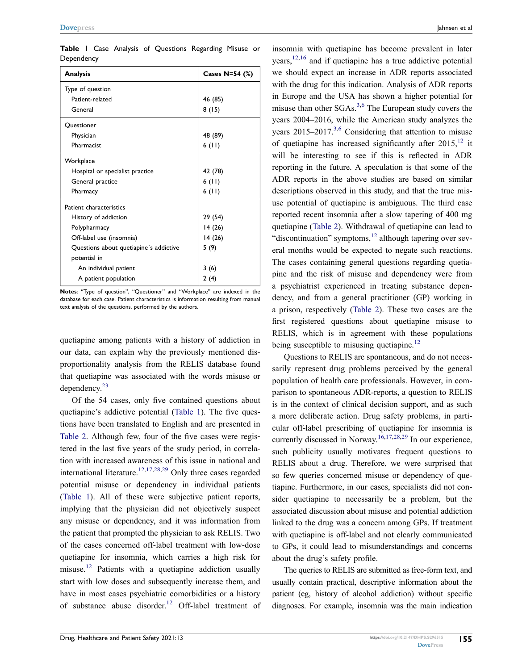<span id="page-4-0"></span>**Table 1** Case Analysis of Questions Regarding Misuse or **Dependency** 

| <b>Analysis</b>                        | Cases N=54 (%) |  |  |  |
|----------------------------------------|----------------|--|--|--|
| Type of question                       |                |  |  |  |
| Patient-related                        | 46 (85)        |  |  |  |
| General                                | 8(15)          |  |  |  |
| Questioner                             |                |  |  |  |
| Physician                              | 48 (89)        |  |  |  |
| Pharmacist                             | 6(11)          |  |  |  |
| Workplace                              |                |  |  |  |
| Hospital or specialist practice        | 42 (78)        |  |  |  |
| General practice                       | 6(11)          |  |  |  |
| Pharmacy                               | 6(11)          |  |  |  |
| Patient characteristics                |                |  |  |  |
| History of addiction                   | 29 (54)        |  |  |  |
| Polypharmacy                           | 14 (26)        |  |  |  |
| Off-label use (insomnia)               | 14 (26)        |  |  |  |
| Questions about quetiapine's addictive | 5 (9)          |  |  |  |
| potential in                           |                |  |  |  |
| An individual patient                  | 3(6)           |  |  |  |
| A patient population                   | 2(4)           |  |  |  |

**Notes**: "Type of question", "Questioner" and "Workplace" are indexed in the database for each case. Patient characteristics is information resulting from manual text analysis of the questions, performed by the authors.

quetiapine among patients with a history of addiction in our data, can explain why the previously mentioned disproportionality analysis from the RELIS database found that quetiapine was associated with the words misuse or dependency.[23](#page-6-18)

Of the 54 cases, only five contained questions about quetiapine's addictive potential [\(Table 1\)](#page-4-0). The five questions have been translated to English and are presented in [Table 2.](#page-5-3) Although few, four of the five cases were registered in the last five years of the study period, in correlation with increased awareness of this issue in national and international literature.<sup>[12,](#page-6-6)[17](#page-6-12)[,28](#page-6-23),29</sup> Only three cases regarded potential misuse or dependency in individual patients [\(Table 1\)](#page-4-0). All of these were subjective patient reports, implying that the physician did not objectively suspect any misuse or dependency, and it was information from the patient that prompted the physician to ask RELIS. Two of the cases concerned off-label treatment with low-dose quetiapine for insomnia, which carries a high risk for misuse[.12](#page-6-6) Patients with a quetiapine addiction usually start with low doses and subsequently increase them, and have in most cases psychiatric comorbidities or a history of substance abuse disorder.<sup>[12](#page-6-6)</sup> Off-label treatment of insomnia with quetiapine has become prevalent in later years,  $12,16$  $12,16$  and if quetiapine has a true addictive potential we should expect an increase in ADR reports associated with the drug for this indication. Analysis of ADR reports in Europe and the USA has shown a higher potential for misuse than other  $SGAs.<sup>3,6</sup>$  $SGAs.<sup>3,6</sup>$  $SGAs.<sup>3,6</sup>$  $SGAs.<sup>3,6</sup>$  The European study covers the years 2004–2016, while the American study analyzes the years  $2015-2017^{3,6}$  $2015-2017^{3,6}$  $2015-2017^{3,6}$  Considering that attention to misuse of quetiapine has increased significantly after  $2015$ ,  $^{12}$  $^{12}$  $^{12}$  it will be interesting to see if this is reflected in ADR reporting in the future. A speculation is that some of the ADR reports in the above studies are based on similar descriptions observed in this study, and that the true misuse potential of quetiapine is ambiguous. The third case reported recent insomnia after a slow tapering of 400 mg quetiapine ([Table 2\)](#page-5-3). Withdrawal of quetiapine can lead to "discontinuation" symptoms, $^{12}$  although tapering over several months would be expected to negate such reactions. The cases containing general questions regarding quetiapine and the risk of misuse and dependency were from a psychiatrist experienced in treating substance dependency, and from a general practitioner (GP) working in a prison, respectively [\(Table 2](#page-5-3)). These two cases are the first registered questions about quetiapine misuse to RELIS, which is in agreement with these populations being susceptible to misusing quetiapine.<sup>[12](#page-6-6)</sup>

<span id="page-4-1"></span>Questions to RELIS are spontaneous, and do not necessarily represent drug problems perceived by the general population of health care professionals. However, in comparison to spontaneous ADR-reports, a question to RELIS is in the context of clinical decision support, and as such a more deliberate action. Drug safety problems, in particular off-label prescribing of quetiapine for insomnia is currently discussed in Norway.<sup>[16](#page-6-11)[,17,](#page-6-12)[28,](#page-6-23)[29](#page-6-24)</sup> In our experience, such publicity usually motivates frequent questions to RELIS about a drug. Therefore, we were surprised that so few queries concerned misuse or dependency of quetiapine. Furthermore, in our cases, specialists did not consider quetiapine to necessarily be a problem, but the associated discussion about misuse and potential addiction linked to the drug was a concern among GPs. If treatment with quetiapine is off-label and not clearly communicated to GPs, it could lead to misunderstandings and concerns about the drug's safety profile.

The queries to RELIS are submitted as free-form text, and usually contain practical, descriptive information about the patient (eg, history of alcohol addiction) without specific diagnoses. For example, insomnia was the main indication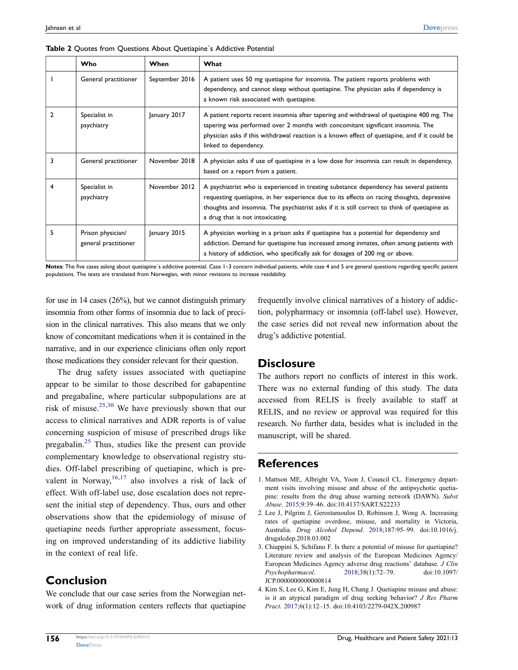|               | Who                                       | When           | What                                                                                                                                                                                                                                                                                                                       |
|---------------|-------------------------------------------|----------------|----------------------------------------------------------------------------------------------------------------------------------------------------------------------------------------------------------------------------------------------------------------------------------------------------------------------------|
|               | General practitioner                      | September 2016 | A patient uses 50 mg quetiapine for insomnia. The patient reports problems with<br>dependency, and cannot sleep without quetiapine. The physician asks if dependency is<br>a known risk associated with quetiapine.                                                                                                        |
| $\mathcal{P}$ | Specialist in<br>psychiatry               | January 2017   | A patient reports recent insomnia after tapering and withdrawal of quetiapine 400 mg. The<br>tapering was performed over 2 months with concomitant significant insomnia. The<br>physician asks if this withdrawal reaction is a known effect of quetiapine, and if it could be<br>linked to dependency.                    |
| 3             | General practitioner                      | November 2018  | A physician asks if use of quetiapine in a low dose for insomnia can result in dependency,<br>based on a report from a patient.                                                                                                                                                                                            |
| 4             | Specialist in<br>psychiatry               | November 2012  | A psychiatrist who is experienced in treating substance dependency has several patients<br>requesting quetiapine, in her experience due to its effects on racing thoughts, depressive<br>thoughts and insomnia. The psychiatrist asks if it is still correct to think of quetiapine as<br>a drug that is not intoxicating. |
| 5             | Prison physician/<br>general practitioner | January 2015   | A physician working in a prison asks if quetiapine has a potential for dependency and<br>addiction. Demand for quetiapine has increased among inmates, often among patients with<br>a history of addiction, who specifically ask for dosages of 200 mg or above.                                                           |

<span id="page-5-3"></span>**Table 2** Quotes from Questions About Quetiapine´s Addictive Potential

Notes: The five cases asking about quetiapine's addictive potential. Case 1-3 concern individual patients, while case 4 and 5 are general questions regarding specific patient populations. The texts are translated from Norwegian, with minor revisions to increase readability.

for use in 14 cases (26%), but we cannot distinguish primary insomnia from other forms of insomnia due to lack of precision in the clinical narratives. This also means that we only know of concomitant medications when it is contained in the narrative, and in our experience clinicians often only report those medications they consider relevant for their question.

<span id="page-5-4"></span>The drug safety issues associated with quetiapine appear to be similar to those described for gabapentine and pregabaline, where particular subpopulations are at risk of misuse.<sup>[25,](#page-6-20)30</sup> We have previously shown that our access to clinical narratives and ADR reports is of value concerning suspicion of misuse of prescribed drugs like pregabalin.<sup>[25](#page-6-20)</sup> Thus, studies like the present can provide complementary knowledge to observational registry studies. Off-label prescribing of quetiapine, which is prevalent in Norway,  $16,17$  $16,17$  also involves a risk of lack of effect. With off-label use, dose escalation does not represent the initial step of dependency. Thus, ours and other observations show that the epidemiology of misuse of quetiapine needs further appropriate assessment, focusing on improved understanding of its addictive liability in the context of real life.

## **Conclusion**

We conclude that our case series from the Norwegian network of drug information centers reflects that quetiapine frequently involve clinical narratives of a history of addiction, polypharmacy or insomnia (off-label use). However, the case series did not reveal new information about the drug's addictive potential.

#### **Disclosure**

The authors report no conflicts of interest in this work. There was no external funding of this study. The data accessed from RELIS is freely available to staff at RELIS, and no review or approval was required for this research. No further data, besides what is included in the manuscript, will be shared.

### **References**

- <span id="page-5-0"></span>1. Mattson ME, Albright VA, Yoon J, Council CL. Emergency department visits involving misuse and abuse of the antipsychotic quetiapine: results from the drug abuse warning network (DAWN). *Subst Abuse*. [2015;](#page-0-3)9:39–46. doi:[10.4137/SART.S22233](https://doi.org/10.4137/SART.S22233)
- 2. Lee J, Pilgrim J, Gerostamoulos D, Robinson J, Wong A. Increasing rates of quetiapine overdose, misuse, and mortality in Victoria, Australia. *Drug Alcohol Depend*. 2018;187:95–99. doi:[10.1016/j.](https://doi.org/10.1016/j.drugalcdep.2018.03.002) [drugalcdep.2018.03.002](https://doi.org/10.1016/j.drugalcdep.2018.03.002)
- <span id="page-5-1"></span>3. Chiappini S, Schifano F. Is there a potential of misuse for quetiapine? Literature review and analysis of the European Medicines Agency/ European Medicines Agency adverse drug reactions' database. *J Clin Psychopharmacol*. [2018](#page-0-4);38(1):72–79. doi:[10.1097/](https://doi.org/10.1097/JCP.0000000000000814) [JCP.0000000000000814](https://doi.org/10.1097/JCP.0000000000000814)
- <span id="page-5-2"></span>4. Kim S, Lee G, Kim E, Jung H, Chang J. Quetiapine misuse and abuse: is it an atypical paradigm of drug seeking behavior? *J Res Pharm Pract*. [2017;](#page-1-0)6(1):12–15. doi:[10.4103/2279-042X.200987](https://doi.org/10.4103/2279-042X.200987)